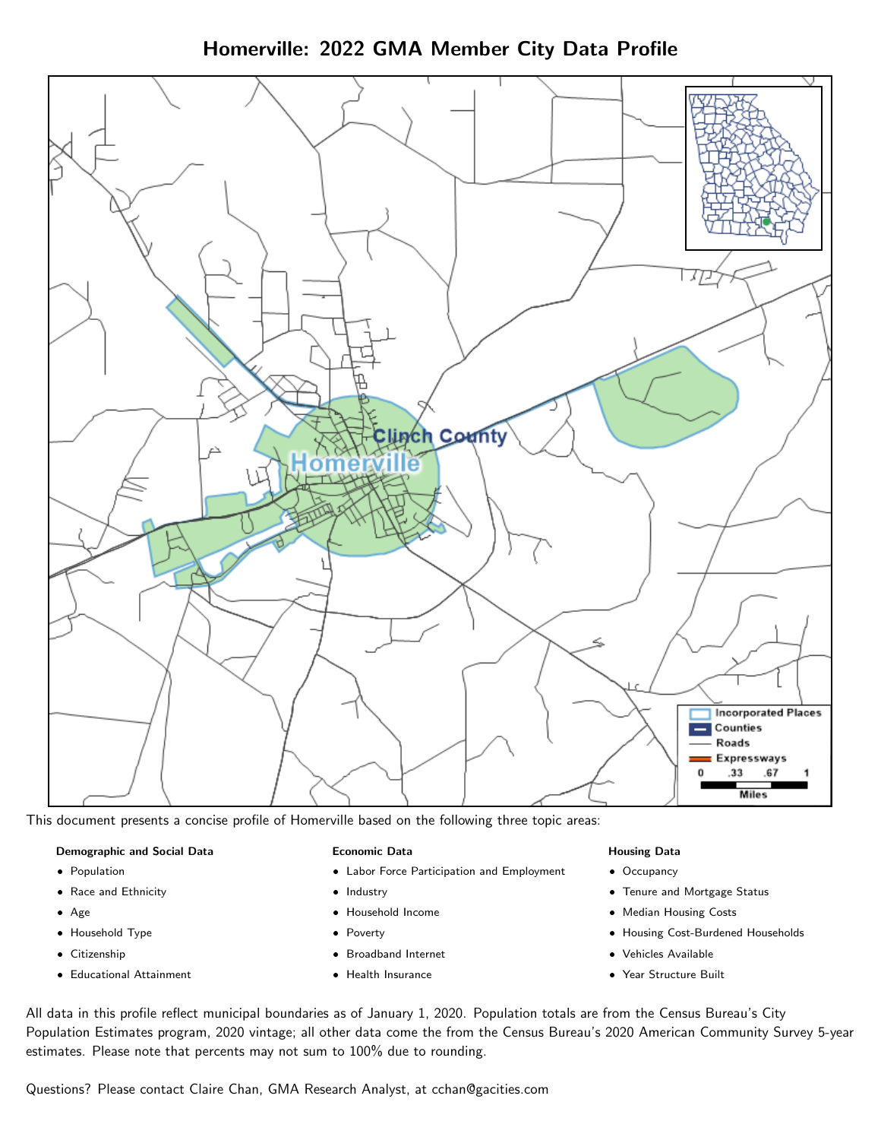Homerville: 2022 GMA Member City Data Profile



This document presents a concise profile of Homerville based on the following three topic areas:

#### Demographic and Social Data

- **•** Population
- Race and Ethnicity
- Age
- Household Type
- **Citizenship**
- Educational Attainment

#### Economic Data

- Labor Force Participation and Employment
- Industry
- Household Income
- Poverty
- Broadband Internet
- Health Insurance

## Housing Data

- Occupancy
- Tenure and Mortgage Status
- Median Housing Costs
- Housing Cost-Burdened Households
- Vehicles Available
- Year Structure Built

All data in this profile reflect municipal boundaries as of January 1, 2020. Population totals are from the Census Bureau's City Population Estimates program, 2020 vintage; all other data come the from the Census Bureau's 2020 American Community Survey 5-year estimates. Please note that percents may not sum to 100% due to rounding.

Questions? Please contact Claire Chan, GMA Research Analyst, at [cchan@gacities.com.](mailto:cchan@gacities.com)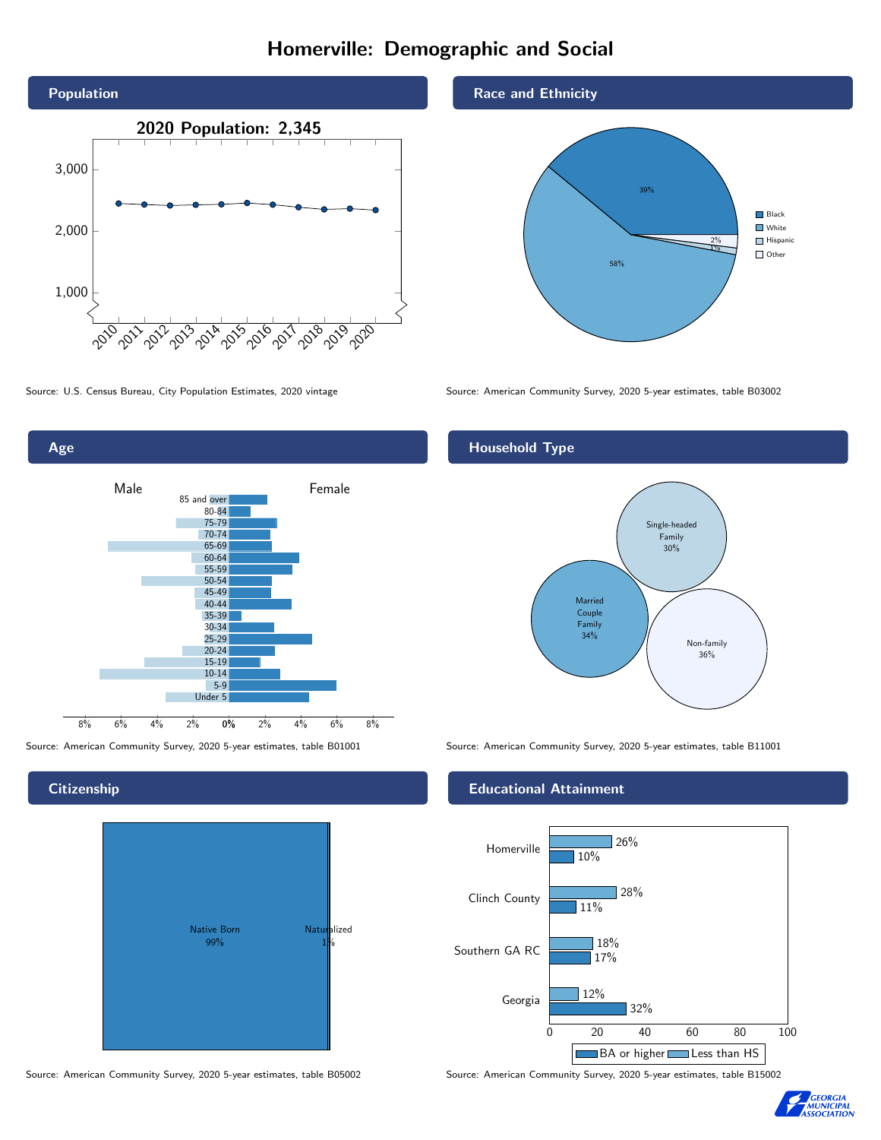# Homerville: Demographic and Social



Age 0% 2% 4% 6% 8% Male **Female** Female 8% 6% 4% 2% 85 and over 80-84 75-79 70-74 65-69 60-64 55-59 50-54 45-49 40-44 35-39 30-34 25-29 20-24 15-19  $10-14$ 5-9 Under 5

**Citizenship** 



Race and Ethnicity



Source: U.S. Census Bureau, City Population Estimates, 2020 vintage Source: American Community Survey, 2020 5-year estimates, table B03002

## Household Type



Source: American Community Survey, 2020 5-year estimates, table B01001 Source: American Community Survey, 2020 5-year estimates, table B11001

## Educational Attainment



Source: American Community Survey, 2020 5-year estimates, table B05002 Source: American Community Survey, 2020 5-year estimates, table B15002

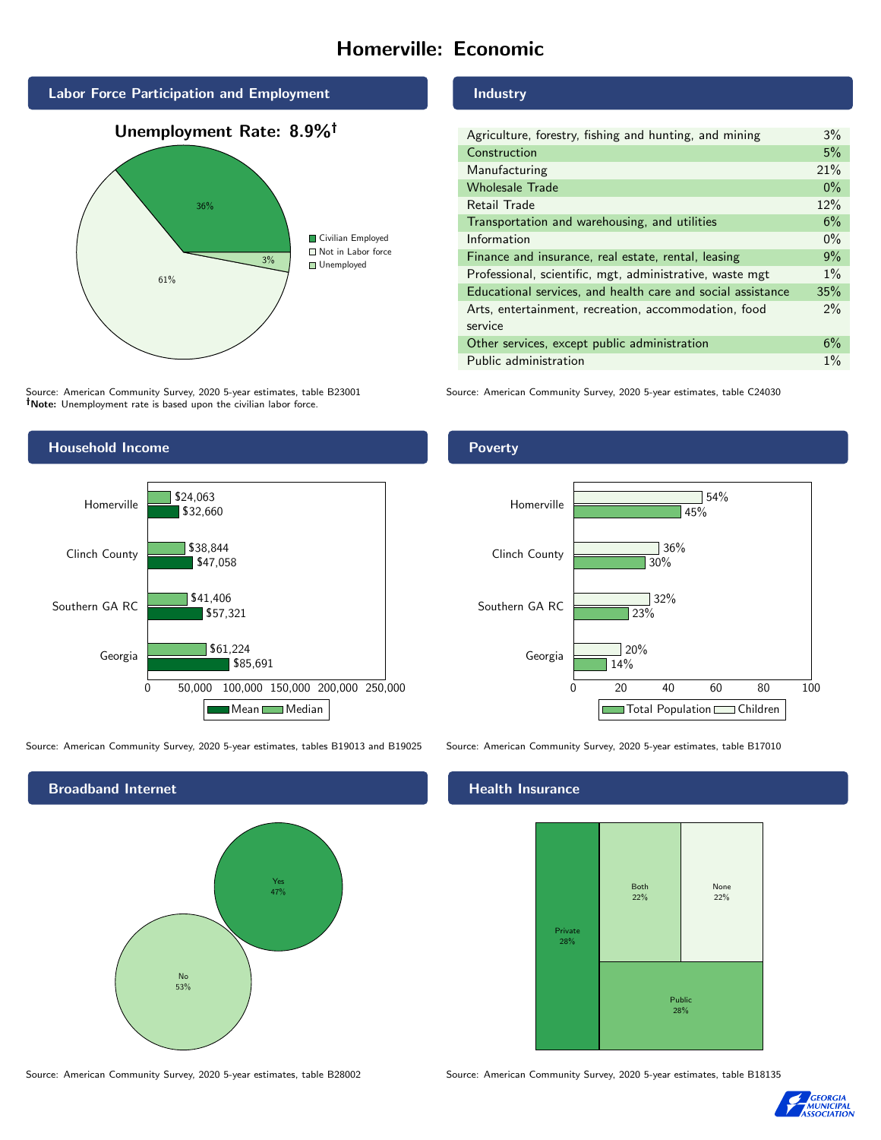# Homerville: Economic



61%

Source: American Community Survey, 2020 5-year estimates, table B23001 Note: Unemployment rate is based upon the civilian labor force.

### Industry

| Agriculture, forestry, fishing and hunting, and mining      | $3\%$ |
|-------------------------------------------------------------|-------|
| Construction                                                | 5%    |
| Manufacturing                                               | 21%   |
| <b>Wholesale Trade</b>                                      | $0\%$ |
| Retail Trade                                                | 12%   |
| Transportation and warehousing, and utilities               | 6%    |
| Information                                                 | $0\%$ |
| Finance and insurance, real estate, rental, leasing         | 9%    |
| Professional, scientific, mgt, administrative, waste mgt    | $1\%$ |
| Educational services, and health care and social assistance | 35%   |
| Arts, entertainment, recreation, accommodation, food        | $2\%$ |
| service                                                     |       |
| Other services, except public administration                | 6%    |
| Public administration                                       | $1\%$ |

Source: American Community Survey, 2020 5-year estimates, table C24030



Source: American Community Survey, 2020 5-year estimates, tables B19013 and B19025 Source: American Community Survey, 2020 5-year estimates, table B17010



Poverty



## **Health Insurance**



Source: American Community Survey, 2020 5-year estimates, table B28002 Source: American Community Survey, 2020 5-year estimates, table B18135